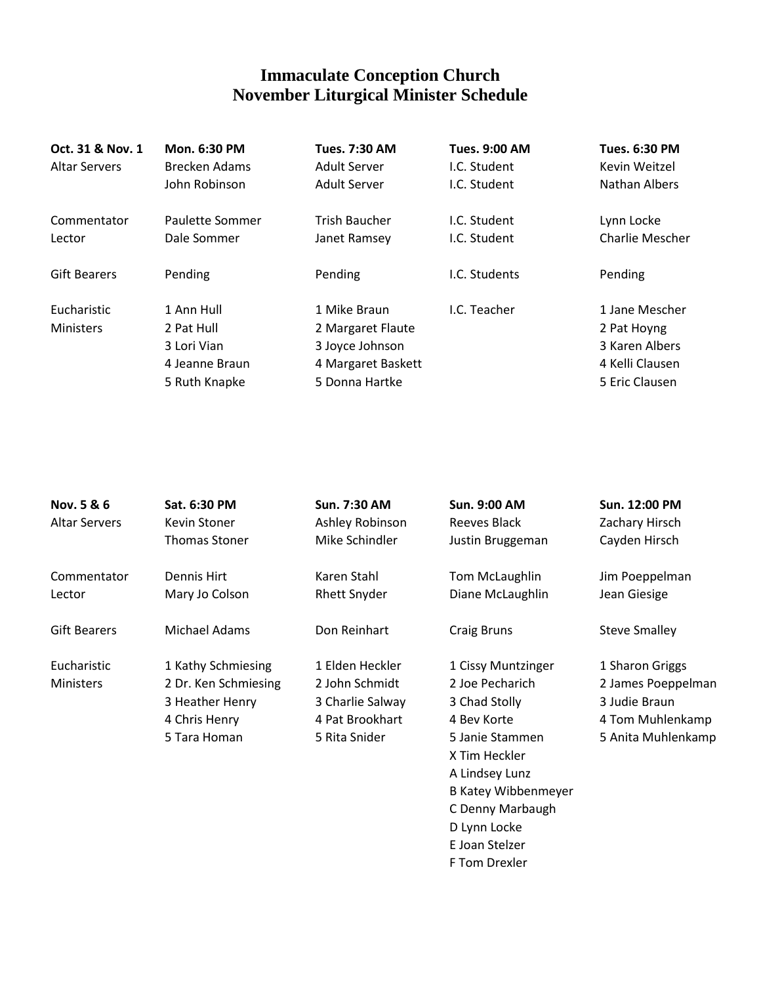## **Immaculate Conception Church November Liturgical Minister Schedule**

| Oct. 31 & Nov. 1<br><b>Altar Servers</b> | <b>Mon. 6:30 PM</b><br>Brecken Adams<br>John Robinson                      | <b>Tues. 7:30 AM</b><br><b>Adult Server</b><br>Adult Server                                  | <b>Tues. 9:00 AM</b><br>I.C. Student<br>I.C. Student | <b>Tues. 6:30 PM</b><br>Kevin Weitzel<br>Nathan Albers                               |
|------------------------------------------|----------------------------------------------------------------------------|----------------------------------------------------------------------------------------------|------------------------------------------------------|--------------------------------------------------------------------------------------|
| Commentator<br>Lector                    | Paulette Sommer<br>Dale Sommer                                             | <b>Trish Baucher</b><br>Janet Ramsey                                                         | I.C. Student<br>I.C. Student                         | Lynn Locke<br><b>Charlie Mescher</b>                                                 |
| <b>Gift Bearers</b>                      | Pending                                                                    | Pending                                                                                      | I.C. Students                                        | Pending                                                                              |
| Eucharistic<br><b>Ministers</b>          | 1 Ann Hull<br>2 Pat Hull<br>3 Lori Vian<br>4 Jeanne Braun<br>5 Ruth Knapke | 1 Mike Braun<br>2 Margaret Flaute<br>3 Joyce Johnson<br>4 Margaret Baskett<br>5 Donna Hartke | I.C. Teacher                                         | 1 Jane Mescher<br>2 Pat Hoyng<br>3 Karen Albers<br>4 Kelli Clausen<br>5 Eric Clausen |

| Nov. 5 & 6           | Sat. 6:30 PM         | Sun. 7:30 AM        | <b>Sun. 9:00 AM</b>        | Sun. 12:00 PM        |
|----------------------|----------------------|---------------------|----------------------------|----------------------|
| <b>Altar Servers</b> | Kevin Stoner         | Ashley Robinson     | Reeves Black               | Zachary Hirsch       |
|                      | <b>Thomas Stoner</b> | Mike Schindler      | Justin Bruggeman           | Cayden Hirsch        |
| Commentator          | Dennis Hirt          | Karen Stahl         | Tom McLaughlin             | Jim Poeppelman       |
| Lector               | Mary Jo Colson       | <b>Rhett Snyder</b> | Diane McLaughlin           | Jean Giesige         |
| <b>Gift Bearers</b>  | Michael Adams        | Don Reinhart        | Craig Bruns                | <b>Steve Smalley</b> |
| Eucharistic          | 1 Kathy Schmiesing   | 1 Elden Heckler     | 1 Cissy Muntzinger         | 1 Sharon Griggs      |
| <b>Ministers</b>     | 2 Dr. Ken Schmiesing | 2 John Schmidt      | 2 Joe Pecharich            | 2 James Poeppelman   |
|                      | 3 Heather Henry      | 3 Charlie Salway    | 3 Chad Stolly              | 3 Judie Braun        |
|                      | 4 Chris Henry        | 4 Pat Brookhart     | 4 Bev Korte                | 4 Tom Muhlenkamp     |
|                      | 5 Tara Homan         | 5 Rita Snider       | 5 Janie Stammen            | 5 Anita Muhlenkamp   |
|                      |                      |                     | X Tim Heckler              |                      |
|                      |                      |                     | A Lindsey Lunz             |                      |
|                      |                      |                     | <b>B Katey Wibbenmeyer</b> |                      |
|                      |                      |                     | C Denny Marbaugh           |                      |
|                      |                      |                     | D Lynn Locke               |                      |
|                      |                      |                     | E Joan Stelzer             |                      |

F Tom Drexler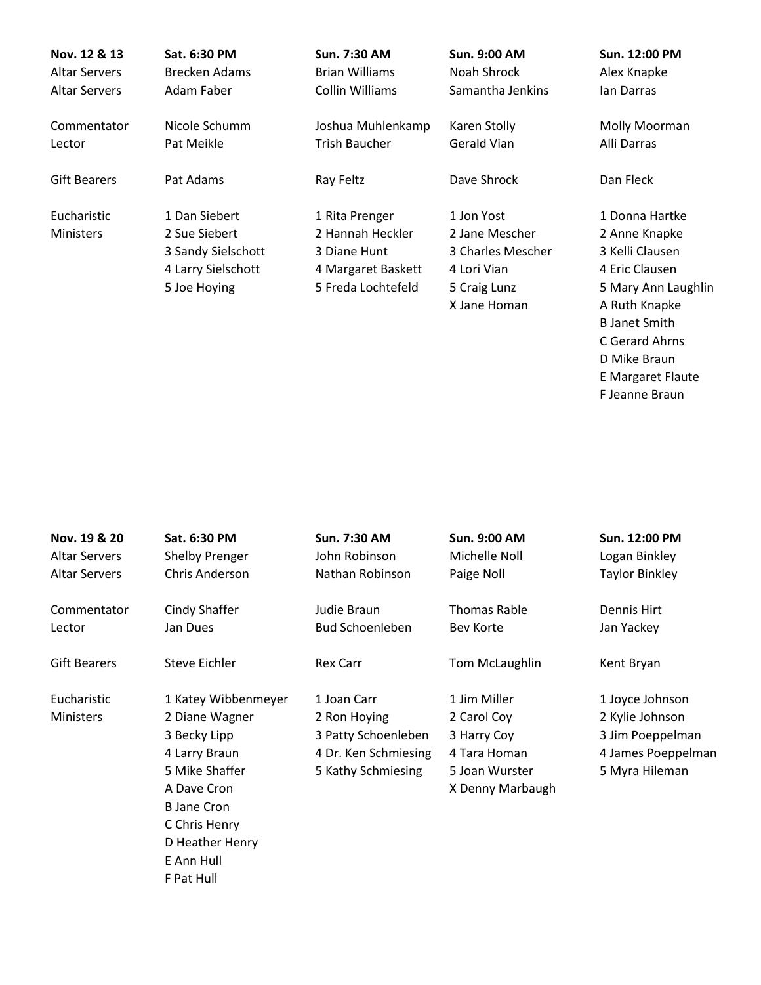| Nov. 12 & 13<br><b>Altar Servers</b> | Sat. 6:30 PM<br><b>Brecken Adams</b> | Sun. 7:30 AM<br><b>Brian Williams</b> | <b>Sun. 9:00 AM</b><br>Noah Shrock | Sun. 12:00 PM<br>Alex Knapke |
|--------------------------------------|--------------------------------------|---------------------------------------|------------------------------------|------------------------------|
| <b>Altar Servers</b>                 | Adam Faber                           | Collin Williams                       | Samantha Jenkins                   | lan Darras                   |
| Commentator                          | Nicole Schumm                        | Joshua Muhlenkamp                     | Karen Stolly                       | Molly Moorman                |
| Lector                               | Pat Meikle                           | Trish Baucher                         | Gerald Vian                        | Alli Darras                  |
| <b>Gift Bearers</b>                  | Pat Adams                            | Ray Feltz                             | Dave Shrock                        | Dan Fleck                    |
| Eucharistic                          | 1 Dan Siebert                        | 1 Rita Prenger                        | 1 Jon Yost                         | 1 Donna Hartke               |
| <b>Ministers</b>                     | 2 Sue Siebert                        | 2 Hannah Heckler                      | 2 Jane Mescher                     | 2 Anne Knapke                |
|                                      | 3 Sandy Sielschott                   | 3 Diane Hunt                          | 3 Charles Mescher                  | 3 Kelli Clausen              |
|                                      | 4 Larry Sielschott                   | 4 Margaret Baskett                    | 4 Lori Vian                        | 4 Eric Clausen               |
|                                      | 5 Joe Hoying                         | 5 Freda Lochtefeld                    | 5 Craig Lunz                       | 5 Mary Ann Laughlin          |
|                                      |                                      |                                       | X Jane Homan                       | A Ruth Knapke                |
|                                      |                                      |                                       |                                    | <b>B</b> Janet Smith         |
|                                      |                                      |                                       |                                    | C Gerard Ahrns               |

- D Mike Braun
- E Margaret Flaute
- F Jeanne Braun

| Nov. 19 & 20         | Sat. 6:30 PM        | Sun. 7:30 AM           | <b>Sun. 9:00 AM</b> | Sun. 12:00 PM         |
|----------------------|---------------------|------------------------|---------------------|-----------------------|
| <b>Altar Servers</b> | Shelby Prenger      | John Robinson          | Michelle Noll       | Logan Binkley         |
| <b>Altar Servers</b> | Chris Anderson      | Nathan Robinson        | Paige Noll          | <b>Taylor Binkley</b> |
| Commentator          | Cindy Shaffer       | Judie Braun            | Thomas Rable        | Dennis Hirt           |
| Lector               | Jan Dues            | <b>Bud Schoenleben</b> | Bev Korte           | Jan Yackey            |
| <b>Gift Bearers</b>  | Steve Eichler       | <b>Rex Carr</b>        | Tom McLaughlin      | Kent Bryan            |
| Eucharistic          | 1 Katey Wibbenmeyer | 1 Joan Carr            | 1 Jim Miller        | 1 Joyce Johnson       |
| Ministers            | 2 Diane Wagner      | 2 Ron Hoying           | 2 Carol Coy         | 2 Kylie Johnson       |
|                      | 3 Becky Lipp        | 3 Patty Schoenleben    | 3 Harry Coy         | 3 Jim Poeppelman      |
|                      | 4 Larry Braun       | 4 Dr. Ken Schmiesing   | 4 Tara Homan        | 4 James Poeppelman    |
|                      | 5 Mike Shaffer      | 5 Kathy Schmiesing     | 5 Joan Wurster      | 5 Myra Hileman        |
|                      | A Dave Cron         |                        | X Denny Marbaugh    |                       |
|                      | <b>B</b> Jane Cron  |                        |                     |                       |
|                      | C Chris Henry       |                        |                     |                       |
|                      | D Heather Henry     |                        |                     |                       |
|                      | E Ann Hull          |                        |                     |                       |
|                      | F Pat Hull          |                        |                     |                       |